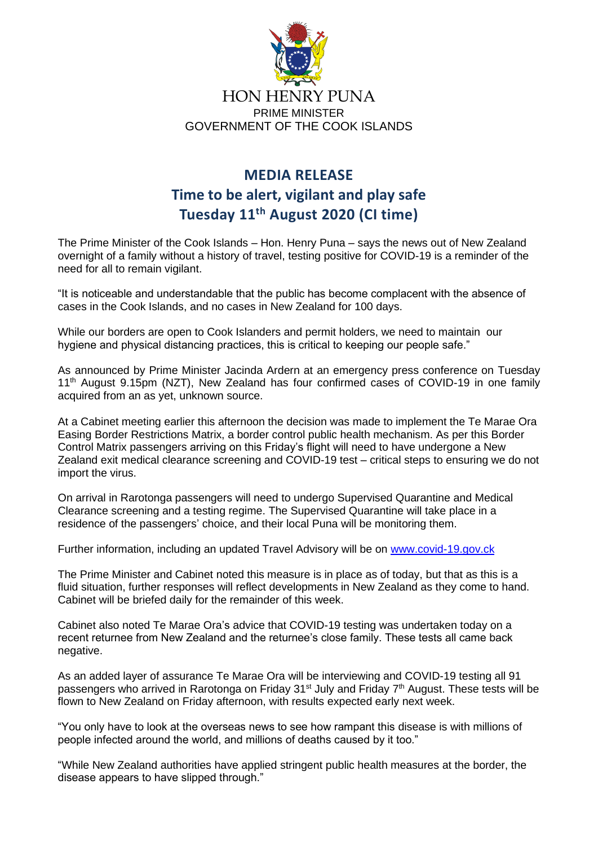

## **MEDIA RELEASE Time to be alert, vigilant and play safe Tuesday 11th August 2020 (CI time)**

The Prime Minister of the Cook Islands – Hon. Henry Puna – says the news out of New Zealand overnight of a family without a history of travel, testing positive for COVID-19 is a reminder of the need for all to remain vigilant.

"It is noticeable and understandable that the public has become complacent with the absence of cases in the Cook Islands, and no cases in New Zealand for 100 days.

While our borders are open to Cook Islanders and permit holders, we need to maintain our hygiene and physical distancing practices, this is critical to keeping our people safe."

As announced by Prime Minister Jacinda Ardern at an emergency press conference on Tuesday 11<sup>th</sup> August 9.15pm (NZT), New Zealand has four confirmed cases of COVID-19 in one family acquired from an as yet, unknown source.

At a Cabinet meeting earlier this afternoon the decision was made to implement the Te Marae Ora Easing Border Restrictions Matrix, a border control public health mechanism. As per this Border Control Matrix passengers arriving on this Friday's flight will need to have undergone a New Zealand exit medical clearance screening and COVID-19 test – critical steps to ensuring we do not import the virus.

On arrival in Rarotonga passengers will need to undergo Supervised Quarantine and Medical Clearance screening and a testing regime. The Supervised Quarantine will take place in a residence of the passengers' choice, and their local Puna will be monitoring them.

Further information, including an updated Travel Advisory will be on [www.covid-19.gov.ck](http://www.covid-19.gov.ck/)

The Prime Minister and Cabinet noted this measure is in place as of today, but that as this is a fluid situation, further responses will reflect developments in New Zealand as they come to hand. Cabinet will be briefed daily for the remainder of this week.

Cabinet also noted Te Marae Ora's advice that COVID-19 testing was undertaken today on a recent returnee from New Zealand and the returnee's close family. These tests all came back negative.

As an added layer of assurance Te Marae Ora will be interviewing and COVID-19 testing all 91 passengers who arrived in Rarotonga on Friday 31<sup>st</sup> July and Friday 7<sup>th</sup> August. These tests will be flown to New Zealand on Friday afternoon, with results expected early next week.

"You only have to look at the overseas news to see how rampant this disease is with millions of people infected around the world, and millions of deaths caused by it too."

"While New Zealand authorities have applied stringent public health measures at the border, the disease appears to have slipped through."